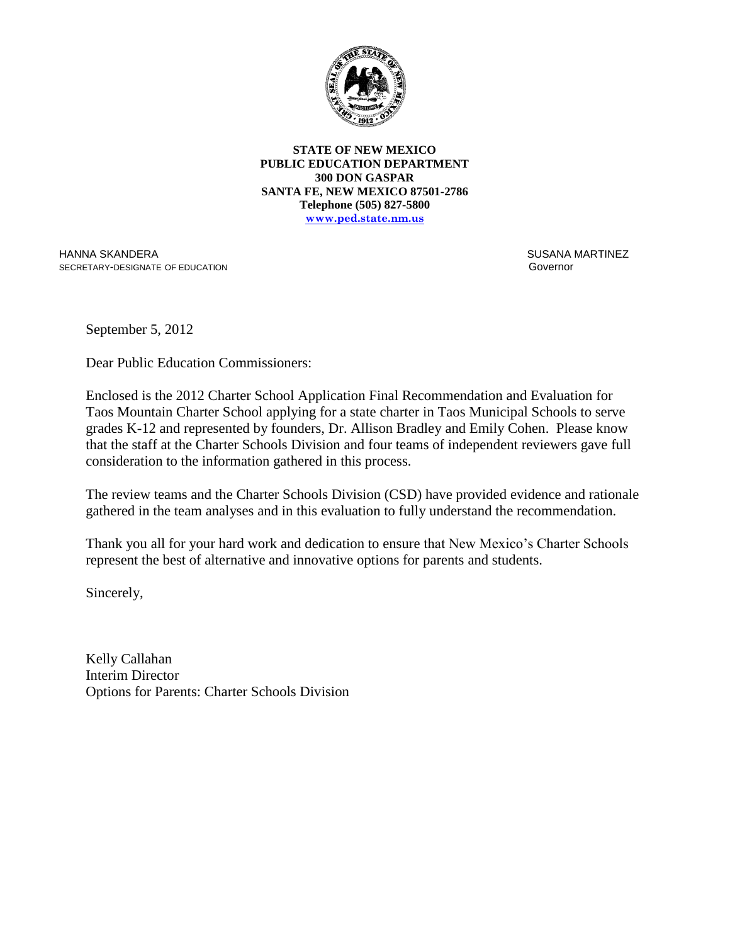

**STATE OF NEW MEXICO PUBLIC EDUCATION DEPARTMENT 300 DON GASPAR SANTA FE, NEW MEXICO 87501-2786 Telephone (505) 827-5800 www.ped.state.nm.us**

HANNA SKANDERA SECRETARY-DESIGNATE OF EDUCATION  SUSANA MARTINEZ Governor

September 5, 2012

Dear Public Education Commissioners:

Enclosed is the 2012 Charter School Application Final Recommendation and Evaluation for Taos Mountain Charter School applying for a state charter in Taos Municipal Schools to serve grades K-12 and represented by founders, Dr. Allison Bradley and Emily Cohen. Please know that the staff at the Charter Schools Division and four teams of independent reviewers gave full consideration to the information gathered in this process.

The review teams and the Charter Schools Division (CSD) have provided evidence and rationale gathered in the team analyses and in this evaluation to fully understand the recommendation.

Thank you all for your hard work and dedication to ensure that New Mexico's Charter Schools represent the best of alternative and innovative options for parents and students.

Sincerely,

Kelly Callahan Interim Director Options for Parents: Charter Schools Division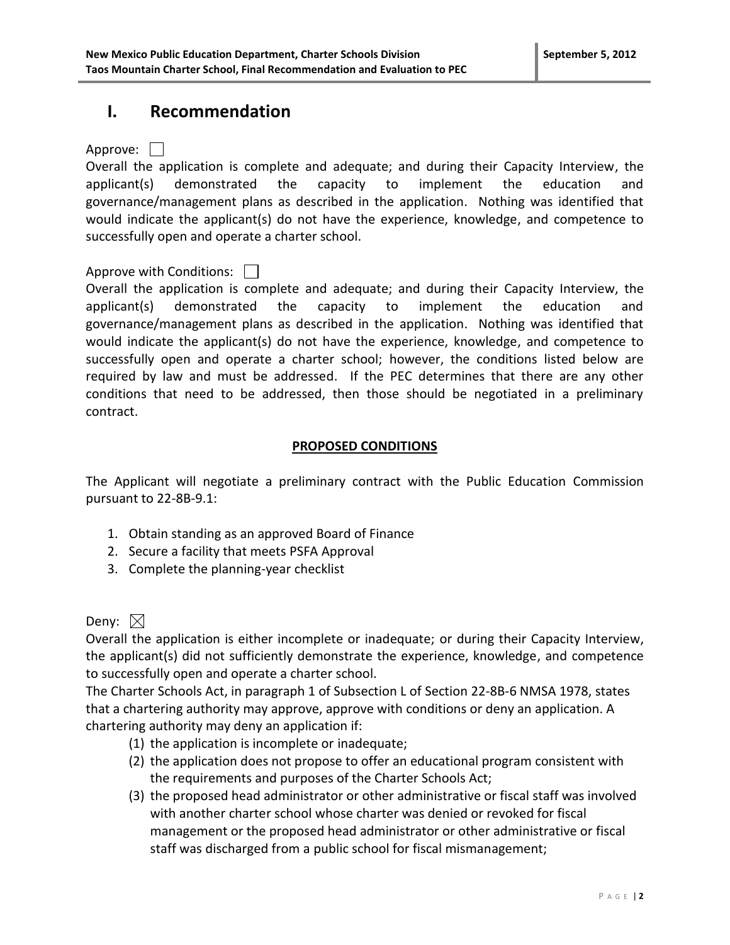### **I. Recommendation**

Approve: | |

Overall the application is complete and adequate; and during their Capacity Interview, the applicant(s) demonstrated the capacity to implement the education and governance/management plans as described in the application. Nothing was identified that would indicate the applicant(s) do not have the experience, knowledge, and competence to successfully open and operate a charter school.

### Approve with Conditions:  $\Box$

Overall the application is complete and adequate; and during their Capacity Interview, the applicant(s) demonstrated the capacity to implement the education and governance/management plans as described in the application. Nothing was identified that would indicate the applicant(s) do not have the experience, knowledge, and competence to successfully open and operate a charter school; however, the conditions listed below are required by law and must be addressed. If the PEC determines that there are any other conditions that need to be addressed, then those should be negotiated in a preliminary contract.

### **PROPOSED CONDITIONS**

The Applicant will negotiate a preliminary contract with the Public Education Commission pursuant to 22-8B-9.1:

- 1. Obtain standing as an approved Board of Finance
- 2. Secure a facility that meets PSFA Approval
- 3. Complete the planning-year checklist

### Deny:  $\boxtimes$

Overall the application is either incomplete or inadequate; or during their Capacity Interview, the applicant(s) did not sufficiently demonstrate the experience, knowledge, and competence to successfully open and operate a charter school.

The Charter Schools Act, in paragraph 1 of Subsection L of Section 22-8B-6 NMSA 1978, states that a chartering authority may approve, approve with conditions or deny an application. A chartering authority may deny an application if:

- (1) the application is incomplete or inadequate;
- (2) the application does not propose to offer an educational program consistent with the requirements and purposes of the Charter Schools Act;
- (3) the proposed head administrator or other administrative or fiscal staff was involved with another charter school whose charter was denied or revoked for fiscal management or the proposed head administrator or other administrative or fiscal staff was discharged from a public school for fiscal mismanagement;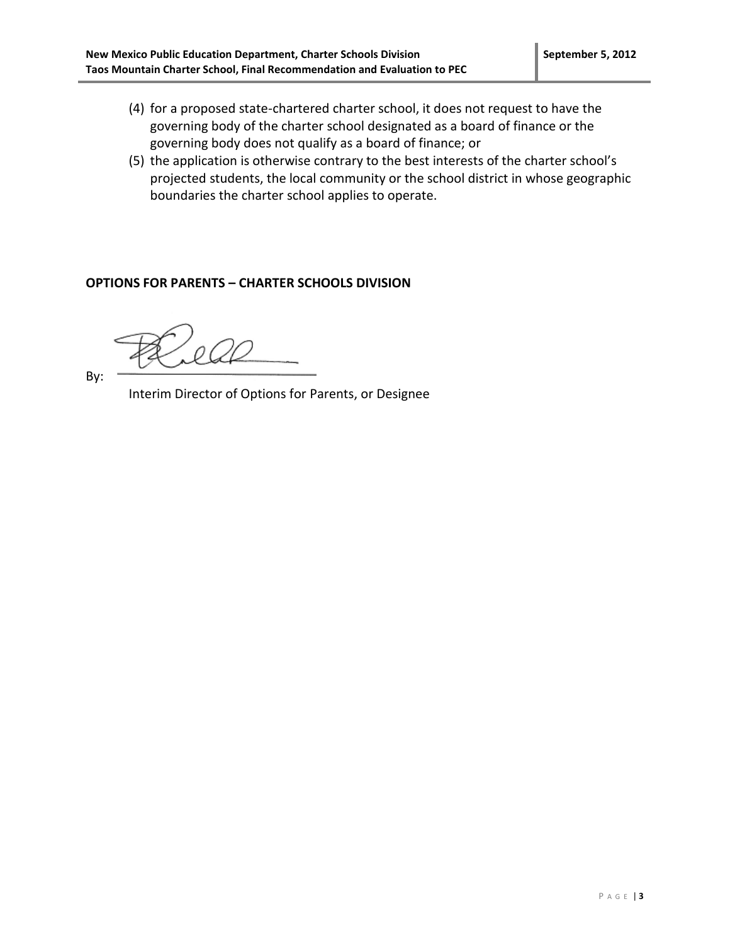- (4) for a proposed state-chartered charter school, it does not request to have the governing body of the charter school designated as a board of finance or the governing body does not qualify as a board of finance; or
- (5) the application is otherwise contrary to the best interests of the charter school's projected students, the local community or the school district in whose geographic boundaries the charter school applies to operate.

#### **OPTIONS FOR PARENTS – CHARTER SCHOOLS DIVISION**

By:

Interim Director of Options for Parents, or Designee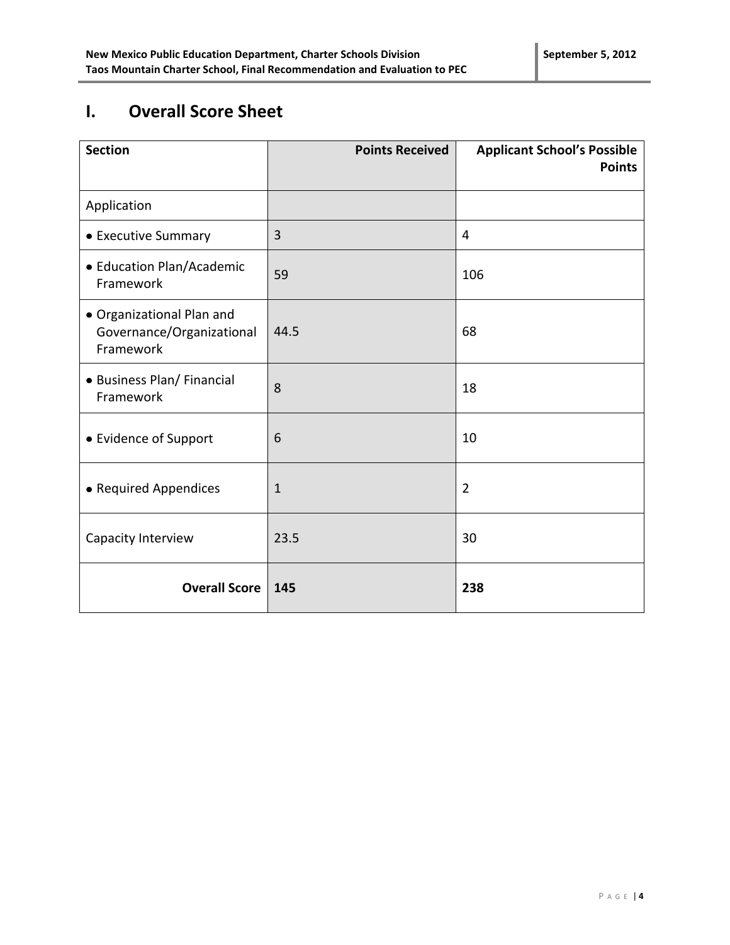# **I. Overall Score Sheet**

| <b>Section</b>                                                      | <b>Points Received</b> | <b>Applicant School's Possible</b><br><b>Points</b> |
|---------------------------------------------------------------------|------------------------|-----------------------------------------------------|
| Application                                                         |                        |                                                     |
| • Executive Summary                                                 | 3                      | 4                                                   |
| • Education Plan/Academic<br>Framework                              | 59                     | 106                                                 |
| • Organizational Plan and<br>Governance/Organizational<br>Framework | 44.5                   | 68                                                  |
| • Business Plan/ Financial<br>Framework                             | 8                      | 18                                                  |
| • Evidence of Support                                               | 6                      | 10                                                  |
| • Required Appendices                                               | $\mathbf 1$            | $\overline{2}$                                      |
| Capacity Interview                                                  | 23.5                   | 30                                                  |
| <b>Overall Score</b>                                                | 145                    | 238                                                 |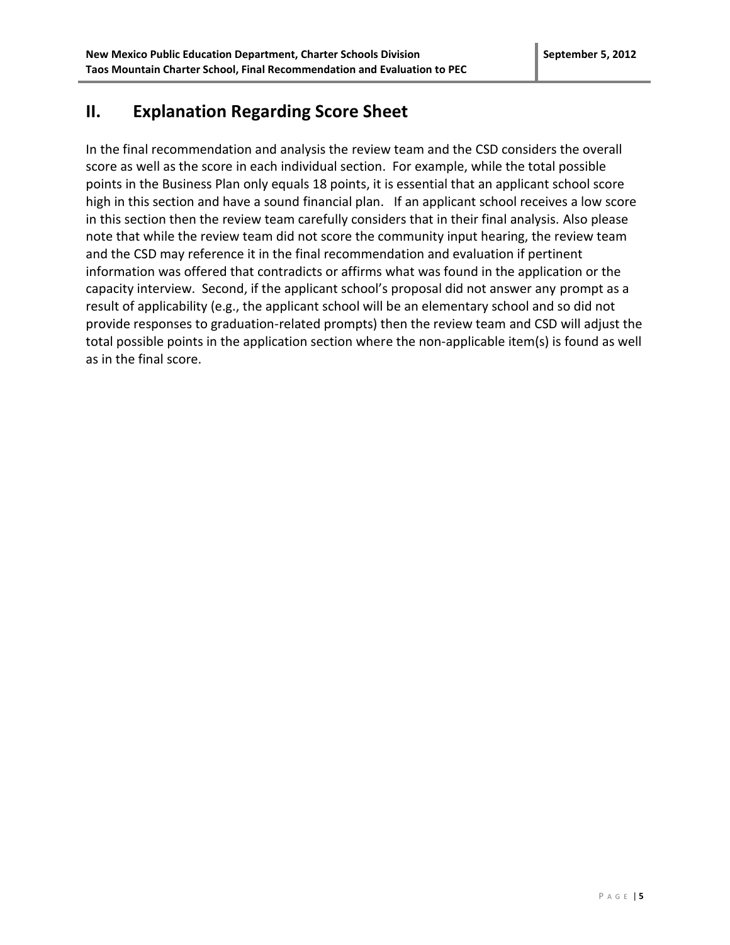# **II. Explanation Regarding Score Sheet**

In the final recommendation and analysis the review team and the CSD considers the overall score as well as the score in each individual section. For example, while the total possible points in the Business Plan only equals 18 points, it is essential that an applicant school score high in this section and have a sound financial plan. If an applicant school receives a low score in this section then the review team carefully considers that in their final analysis. Also please note that while the review team did not score the community input hearing, the review team and the CSD may reference it in the final recommendation and evaluation if pertinent information was offered that contradicts or affirms what was found in the application or the capacity interview. Second, if the applicant school's proposal did not answer any prompt as a result of applicability (e.g., the applicant school will be an elementary school and so did not provide responses to graduation-related prompts) then the review team and CSD will adjust the total possible points in the application section where the non-applicable item(s) is found as well as in the final score.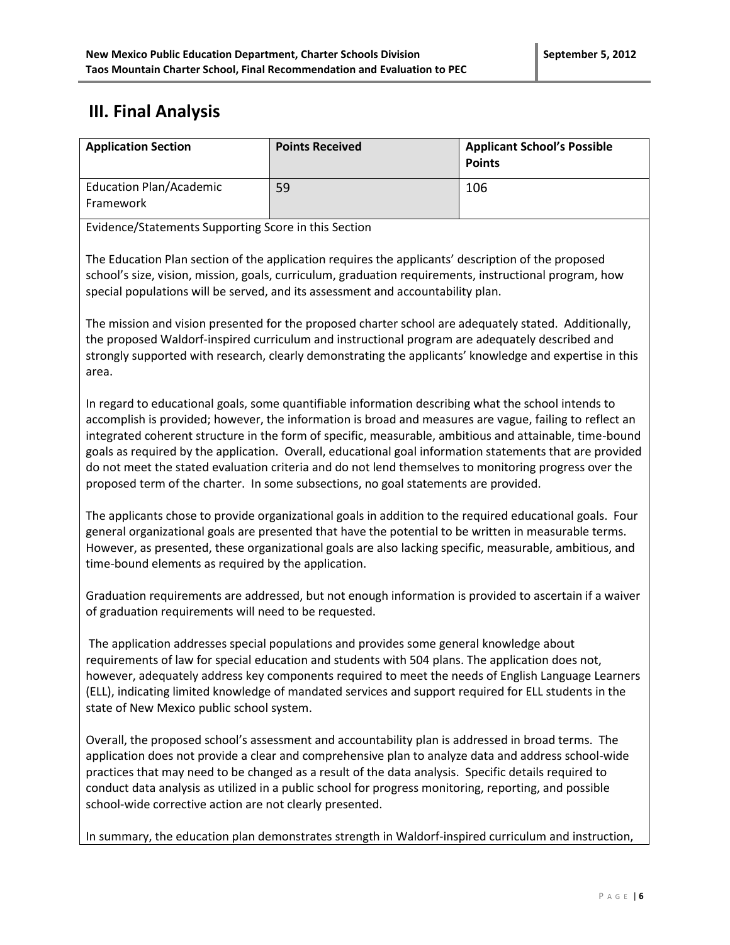## **III. Final Analysis**

| <b>Application Section</b>                  | <b>Points Received</b> | <b>Applicant School's Possible</b><br><b>Points</b> |
|---------------------------------------------|------------------------|-----------------------------------------------------|
| <b>Education Plan/Academic</b><br>Framework | 59                     | 106                                                 |

Evidence/Statements Supporting Score in this Section

The Education Plan section of the application requires the applicants' description of the proposed school's size, vision, mission, goals, curriculum, graduation requirements, instructional program, how special populations will be served, and its assessment and accountability plan.

The mission and vision presented for the proposed charter school are adequately stated. Additionally, the proposed Waldorf-inspired curriculum and instructional program are adequately described and strongly supported with research, clearly demonstrating the applicants' knowledge and expertise in this area.

In regard to educational goals, some quantifiable information describing what the school intends to accomplish is provided; however, the information is broad and measures are vague, failing to reflect an integrated coherent structure in the form of specific, measurable, ambitious and attainable, time-bound goals as required by the application. Overall, educational goal information statements that are provided do not meet the stated evaluation criteria and do not lend themselves to monitoring progress over the proposed term of the charter. In some subsections, no goal statements are provided.

The applicants chose to provide organizational goals in addition to the required educational goals. Four general organizational goals are presented that have the potential to be written in measurable terms. However, as presented, these organizational goals are also lacking specific, measurable, ambitious, and time-bound elements as required by the application.

Graduation requirements are addressed, but not enough information is provided to ascertain if a waiver of graduation requirements will need to be requested.

The application addresses special populations and provides some general knowledge about requirements of law for special education and students with 504 plans. The application does not, however, adequately address key components required to meet the needs of English Language Learners (ELL), indicating limited knowledge of mandated services and support required for ELL students in the state of New Mexico public school system.

Overall, the proposed school's assessment and accountability plan is addressed in broad terms. The application does not provide a clear and comprehensive plan to analyze data and address school-wide practices that may need to be changed as a result of the data analysis. Specific details required to conduct data analysis as utilized in a public school for progress monitoring, reporting, and possible school-wide corrective action are not clearly presented.

In summary, the education plan demonstrates strength in Waldorf-inspired curriculum and instruction,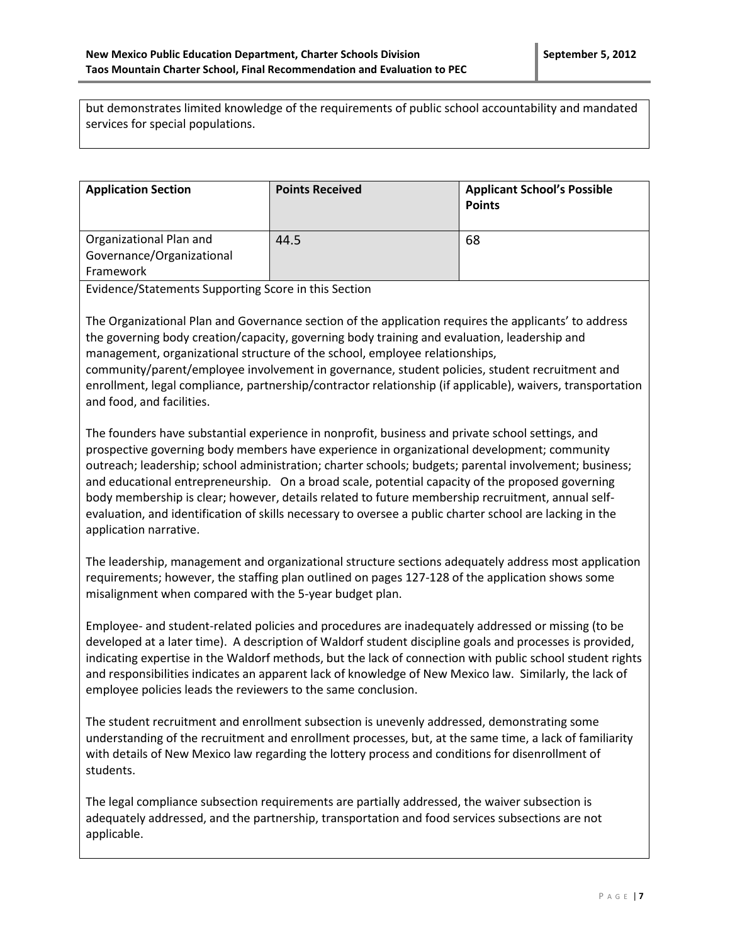but demonstrates limited knowledge of the requirements of public school accountability and mandated services for special populations.

| <b>Application Section</b>                                        | <b>Points Received</b> | <b>Applicant School's Possible</b><br><b>Points</b> |
|-------------------------------------------------------------------|------------------------|-----------------------------------------------------|
| Organizational Plan and<br>Governance/Organizational<br>Framework | 44.5                   | 68                                                  |

Evidence/Statements Supporting Score in this Section

The Organizational Plan and Governance section of the application requires the applicants' to address the governing body creation/capacity, governing body training and evaluation, leadership and management, organizational structure of the school, employee relationships, community/parent/employee involvement in governance, student policies, student recruitment and enrollment, legal compliance, partnership/contractor relationship (if applicable), waivers, transportation and food, and facilities.

The founders have substantial experience in nonprofit, business and private school settings, and prospective governing body members have experience in organizational development; community outreach; leadership; school administration; charter schools; budgets; parental involvement; business; and educational entrepreneurship. On a broad scale, potential capacity of the proposed governing body membership is clear; however, details related to future membership recruitment, annual selfevaluation, and identification of skills necessary to oversee a public charter school are lacking in the application narrative.

The leadership, management and organizational structure sections adequately address most application requirements; however, the staffing plan outlined on pages 127-128 of the application shows some misalignment when compared with the 5-year budget plan.

Employee- and student-related policies and procedures are inadequately addressed or missing (to be developed at a later time). A description of Waldorf student discipline goals and processes is provided, indicating expertise in the Waldorf methods, but the lack of connection with public school student rights and responsibilities indicates an apparent lack of knowledge of New Mexico law. Similarly, the lack of employee policies leads the reviewers to the same conclusion.

The student recruitment and enrollment subsection is unevenly addressed, demonstrating some understanding of the recruitment and enrollment processes, but, at the same time, a lack of familiarity with details of New Mexico law regarding the lottery process and conditions for disenrollment of students.

The legal compliance subsection requirements are partially addressed, the waiver subsection is adequately addressed, and the partnership, transportation and food services subsections are not applicable.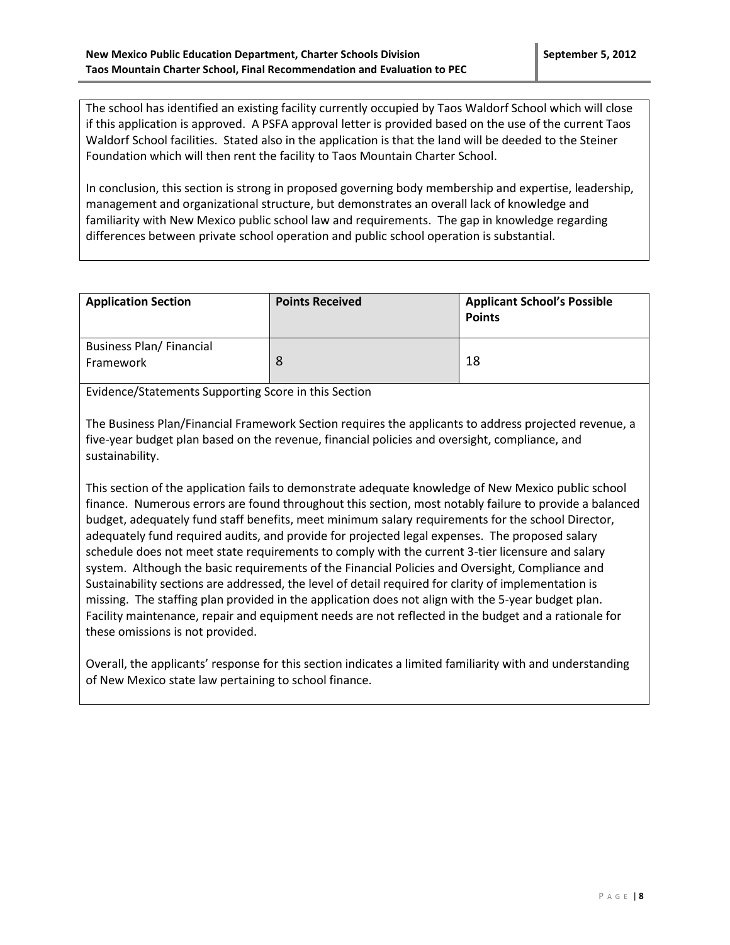The school has identified an existing facility currently occupied by Taos Waldorf School which will close if this application is approved. A PSFA approval letter is provided based on the use of the current Taos Waldorf School facilities. Stated also in the application is that the land will be deeded to the Steiner Foundation which will then rent the facility to Taos Mountain Charter School.

In conclusion, this section is strong in proposed governing body membership and expertise, leadership, management and organizational structure, but demonstrates an overall lack of knowledge and familiarity with New Mexico public school law and requirements. The gap in knowledge regarding differences between private school operation and public school operation is substantial.

| <b>Application Section</b>                  | <b>Points Received</b> | <b>Applicant School's Possible</b><br><b>Points</b> |
|---------------------------------------------|------------------------|-----------------------------------------------------|
| <b>Business Plan/Financial</b><br>Framework |                        | 18                                                  |

Evidence/Statements Supporting Score in this Section

The Business Plan/Financial Framework Section requires the applicants to address projected revenue, a five-year budget plan based on the revenue, financial policies and oversight, compliance, and sustainability.

This section of the application fails to demonstrate adequate knowledge of New Mexico public school finance. Numerous errors are found throughout this section, most notably failure to provide a balanced budget, adequately fund staff benefits, meet minimum salary requirements for the school Director, adequately fund required audits, and provide for projected legal expenses. The proposed salary schedule does not meet state requirements to comply with the current 3-tier licensure and salary system. Although the basic requirements of the Financial Policies and Oversight, Compliance and Sustainability sections are addressed, the level of detail required for clarity of implementation is missing. The staffing plan provided in the application does not align with the 5-year budget plan. Facility maintenance, repair and equipment needs are not reflected in the budget and a rationale for these omissions is not provided.

Overall, the applicants' response for this section indicates a limited familiarity with and understanding of New Mexico state law pertaining to school finance.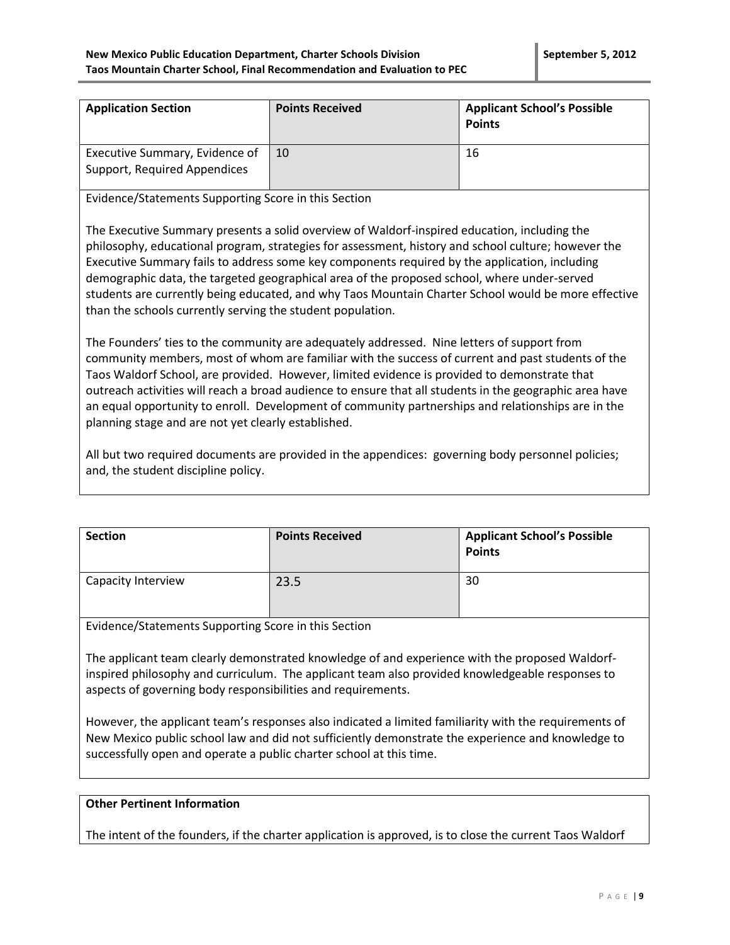| <b>Application Section</b>                                     | <b>Points Received</b> | <b>Applicant School's Possible</b><br><b>Points</b> |
|----------------------------------------------------------------|------------------------|-----------------------------------------------------|
| Executive Summary, Evidence of<br>Support, Required Appendices | 10                     | 16                                                  |

Evidence/Statements Supporting Score in this Section

The Executive Summary presents a solid overview of Waldorf-inspired education, including the philosophy, educational program, strategies for assessment, history and school culture; however the Executive Summary fails to address some key components required by the application, including demographic data, the targeted geographical area of the proposed school, where under-served students are currently being educated, and why Taos Mountain Charter School would be more effective than the schools currently serving the student population.

The Founders' ties to the community are adequately addressed. Nine letters of support from community members, most of whom are familiar with the success of current and past students of the Taos Waldorf School, are provided. However, limited evidence is provided to demonstrate that outreach activities will reach a broad audience to ensure that all students in the geographic area have an equal opportunity to enroll. Development of community partnerships and relationships are in the planning stage and are not yet clearly established.

All but two required documents are provided in the appendices: governing body personnel policies; and, the student discipline policy.

| <b>Section</b>     | <b>Points Received</b> | <b>Applicant School's Possible</b><br><b>Points</b> |
|--------------------|------------------------|-----------------------------------------------------|
| Capacity Interview | 23.5                   | 30                                                  |

Evidence/Statements Supporting Score in this Section

The applicant team clearly demonstrated knowledge of and experience with the proposed Waldorfinspired philosophy and curriculum. The applicant team also provided knowledgeable responses to aspects of governing body responsibilities and requirements.

However, the applicant team's responses also indicated a limited familiarity with the requirements of New Mexico public school law and did not sufficiently demonstrate the experience and knowledge to successfully open and operate a public charter school at this time.

#### **Other Pertinent Information**

The intent of the founders, if the charter application is approved, is to close the current Taos Waldorf